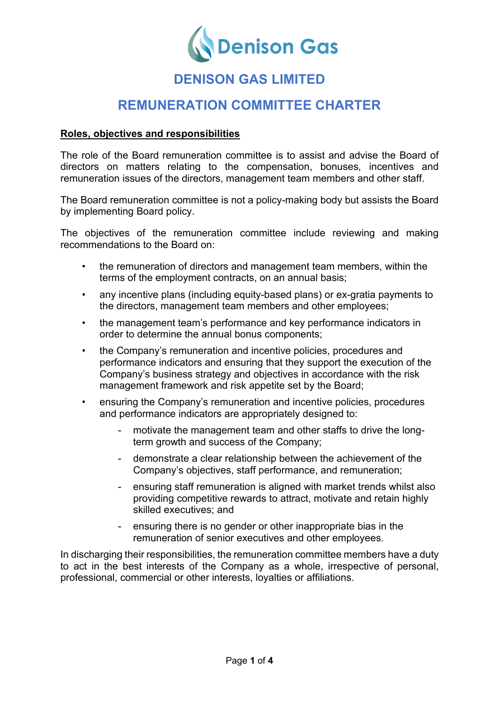

# **DENISON GAS LIMITED**

## **REMUNERATION COMMITTEE CHARTER**

#### **Roles, objectives and responsibilities**

The role of the Board remuneration committee is to assist and advise the Board of directors on matters relating to the compensation, bonuses, incentives and remuneration issues of the directors, management team members and other staff.

The Board remuneration committee is not a policy-making body but assists the Board by implementing Board policy.

The objectives of the remuneration committee include reviewing and making recommendations to the Board on:

- the remuneration of directors and management team members, within the terms of the employment contracts, on an annual basis;
- any incentive plans (including equity-based plans) or ex-gratia payments to the directors, management team members and other employees;
- the management team's performance and key performance indicators in order to determine the annual bonus components;
- the Company's remuneration and incentive policies, procedures and performance indicators and ensuring that they support the execution of the Company's business strategy and objectives in accordance with the risk management framework and risk appetite set by the Board;
- ensuring the Company's remuneration and incentive policies, procedures and performance indicators are appropriately designed to:
	- motivate the management team and other staffs to drive the longterm growth and success of the Company;
	- demonstrate a clear relationship between the achievement of the Company's objectives, staff performance, and remuneration;
	- ensuring staff remuneration is aligned with market trends whilst also providing competitive rewards to attract, motivate and retain highly skilled executives; and
	- ensuring there is no gender or other inappropriate bias in the remuneration of senior executives and other employees.

In discharging their responsibilities, the remuneration committee members have a duty to act in the best interests of the Company as a whole, irrespective of personal, professional, commercial or other interests, loyalties or affiliations.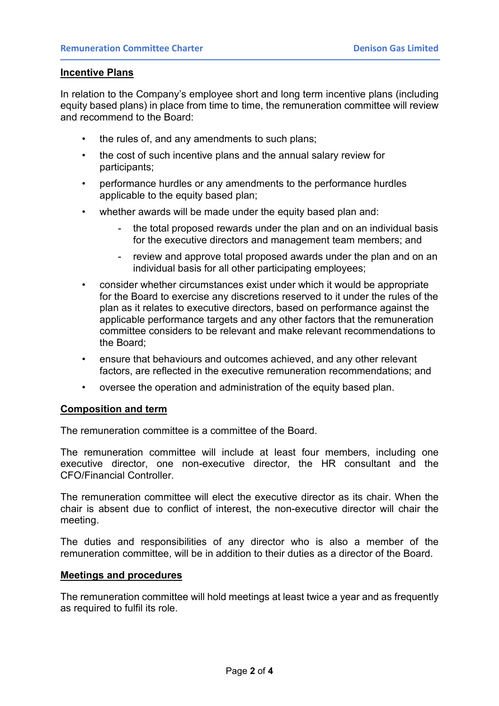#### **Incentive Plans**

In relation to the Company's employee short and long term incentive plans (including equity based plans) in place from time to time, the remuneration committee will review and recommend to the Board:

- the rules of, and any amendments to such plans;
- the cost of such incentive plans and the annual salary review for participants;
- performance hurdles or any amendments to the performance hurdles applicable to the equity based plan;
- whether awards will be made under the equity based plan and:
	- the total proposed rewards under the plan and on an individual basis for the executive directors and management team members; and
	- review and approve total proposed awards under the plan and on an individual basis for all other participating employees;
- consider whether circumstances exist under which it would be appropriate for the Board to exercise any discretions reserved to it under the rules of the plan as it relates to executive directors, based on performance against the applicable performance targets and any other factors that the remuneration committee considers to be relevant and make relevant recommendations to the Board;
- ensure that behaviours and outcomes achieved, and any other relevant factors, are reflected in the executive remuneration recommendations; and
- oversee the operation and administration of the equity based plan.

#### **Composition and term**

The remuneration committee is a committee of the Board.

The remuneration committee will include at least four members, including one executive director, one non-executive director, the HR consultant and the CFO/Financial Controller.

The remuneration committee will elect the executive director as its chair. When the chair is absent due to conflict of interest, the non-executive director will chair the meeting.

The duties and responsibilities of any director who is also a member of the remuneration committee, will be in addition to their duties as a director of the Board.

#### **Meetings and procedures**

The remuneration committee will hold meetings at least twice a year and as frequently as required to fulfil its role.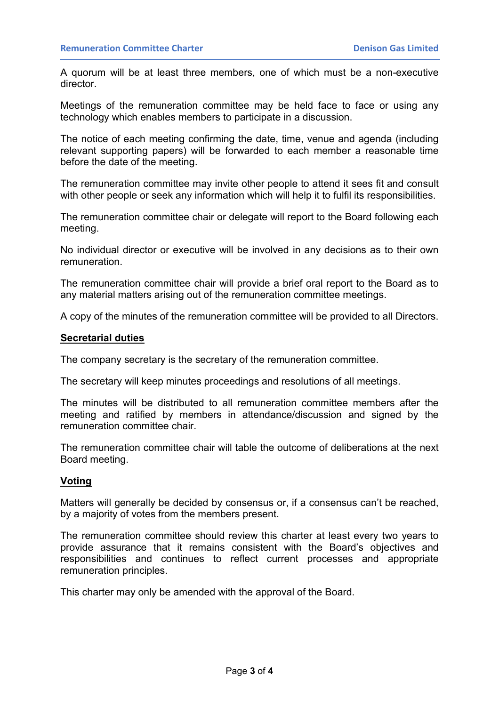A quorum will be at least three members, one of which must be a non-executive director.

Meetings of the remuneration committee may be held face to face or using any technology which enables members to participate in a discussion.

The notice of each meeting confirming the date, time, venue and agenda (including relevant supporting papers) will be forwarded to each member a reasonable time before the date of the meeting.

The remuneration committee may invite other people to attend it sees fit and consult with other people or seek any information which will help it to fulfil its responsibilities.

The remuneration committee chair or delegate will report to the Board following each meeting.

No individual director or executive will be involved in any decisions as to their own remuneration.

The remuneration committee chair will provide a brief oral report to the Board as to any material matters arising out of the remuneration committee meetings.

A copy of the minutes of the remuneration committee will be provided to all Directors.

#### **Secretarial duties**

The company secretary is the secretary of the remuneration committee.

The secretary will keep minutes proceedings and resolutions of all meetings.

The minutes will be distributed to all remuneration committee members after the meeting and ratified by members in attendance/discussion and signed by the remuneration committee chair.

The remuneration committee chair will table the outcome of deliberations at the next Board meeting.

#### **Voting**

Matters will generally be decided by consensus or, if a consensus can't be reached, by a majority of votes from the members present.

The remuneration committee should review this charter at least every two years to provide assurance that it remains consistent with the Board's objectives and responsibilities and continues to reflect current processes and appropriate remuneration principles.

This charter may only be amended with the approval of the Board.